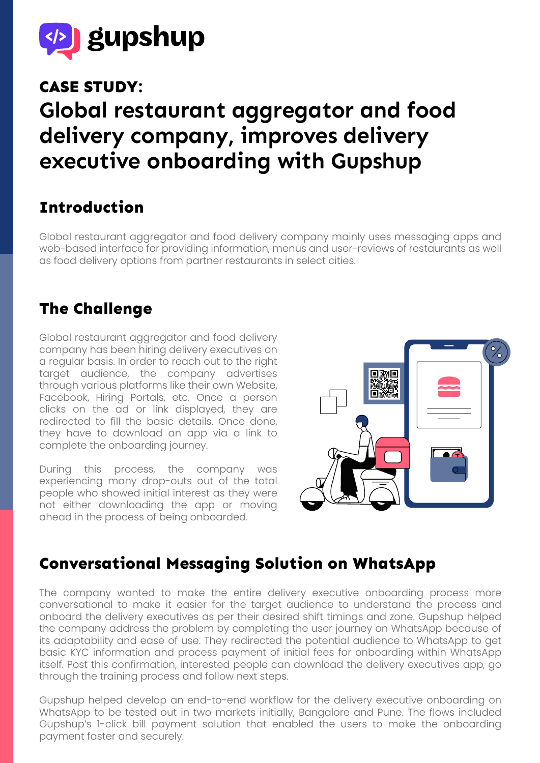

## **CASE STUDY:**

# **Global restaurant aggregator and food delivery company, improves delivery executive onboarding with Gupshup**

# **Introduction**

Global restaurant aggregator and food delivery company mainly uses messaging apps and web-based interface for providing information, menus and user-reviews of restaurants as well as food delivery options from partner restaurants in select cities.

#### **The Challenge**

Global restaurant aggregator and food delivery company has been hiring delivery executives on a regular basis. In order to reach out to the right target audience, the company advertises through various platforms like their own Website, Facebook, Hiring Portals, etc. Once a person clicks on the ad or link displayed, they are redirected to fill the basic details. Once done, they have to download an app via a link to complete the onboarding journey.

During this process, the company was experiencing many drop-outs out of the total people who showed initial interest as they were not either downloading the app or moving ahead in the process of being onboarded.



## **Conversational Messaging Solution on WhatsApp**

The company wanted to make the entire delivery executive onboarding process more conversational to make it easier for the target audience to understand the process and onboard the delivery executives as per their desired shift timings and zone. Gupshup helped the company address the problem by completing the user journey on WhatsApp because of its adaptability and ease of use. They redirected the potential audience to WhatsApp to get basic KYC information and process payment of initial fees for onboarding within WhatsApp itself. Post this confirmation, interested people can download the delivery executives app, go through the training process and follow next steps.

Gupshup helped develop an end-to-end workflow for the delivery executive onboarding on WhatsApp to be tested out in two markets initially, Bangalore and Pune. The flows included Gupshup's 1-click bill payment solution that enabled the users to make the onboarding payment faster and securely.